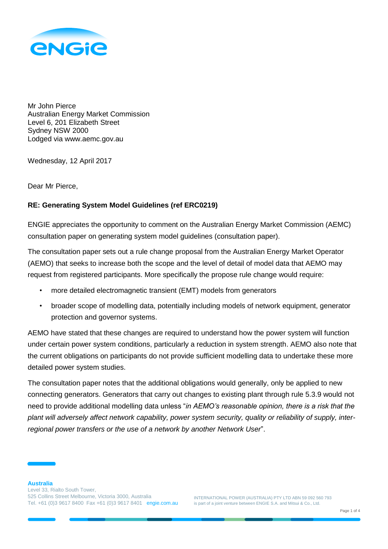

Mr John Pierce Australian Energy Market Commission Level 6, 201 Elizabeth Street Sydney NSW 2000 Lodged via www.aemc.gov.au

Wednesday, 12 April 2017

Dear Mr Pierce,

## **RE: Generating System Model Guidelines (ref ERC0219)**

ENGIE appreciates the opportunity to comment on the Australian Energy Market Commission (AEMC) consultation paper on generating system model guidelines (consultation paper).

The consultation paper sets out a rule change proposal from the Australian Energy Market Operator (AEMO) that seeks to increase both the scope and the level of detail of model data that AEMO may request from registered participants. More specifically the propose rule change would require:

- more detailed electromagnetic transient (EMT) models from generators
- broader scope of modelling data, potentially including models of network equipment, generator protection and governor systems.

AEMO have stated that these changes are required to understand how the power system will function under certain power system conditions, particularly a reduction in system strength. AEMO also note that the current obligations on participants do not provide sufficient modelling data to undertake these more detailed power system studies.

The consultation paper notes that the additional obligations would generally, only be applied to new connecting generators. Generators that carry out changes to existing plant through rule 5.3.9 would not need to provide additional modelling data unless "*in AEMO's reasonable opinion, there is a risk that the plant will adversely affect network capability, power system security, quality or reliability of supply, interregional power transfers or the use of a network by another Network User*".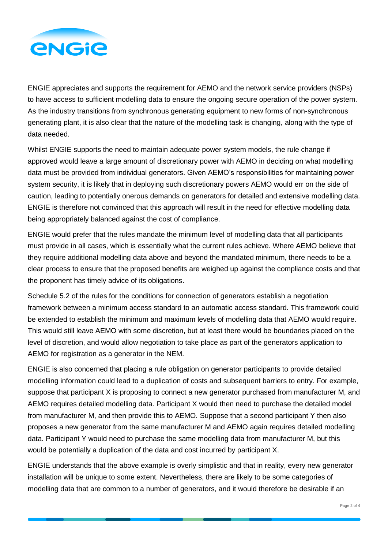

ENGIE appreciates and supports the requirement for AEMO and the network service providers (NSPs) to have access to sufficient modelling data to ensure the ongoing secure operation of the power system. As the industry transitions from synchronous generating equipment to new forms of non-synchronous generating plant, it is also clear that the nature of the modelling task is changing, along with the type of data needed.

Whilst ENGIE supports the need to maintain adequate power system models, the rule change if approved would leave a large amount of discretionary power with AEMO in deciding on what modelling data must be provided from individual generators. Given AEMO's responsibilities for maintaining power system security, it is likely that in deploying such discretionary powers AEMO would err on the side of caution, leading to potentially onerous demands on generators for detailed and extensive modelling data. ENGIE is therefore not convinced that this approach will result in the need for effective modelling data being appropriately balanced against the cost of compliance.

ENGIE would prefer that the rules mandate the minimum level of modelling data that all participants must provide in all cases, which is essentially what the current rules achieve. Where AEMO believe that they require additional modelling data above and beyond the mandated minimum, there needs to be a clear process to ensure that the proposed benefits are weighed up against the compliance costs and that the proponent has timely advice of its obligations.

Schedule 5.2 of the rules for the conditions for connection of generators establish a negotiation framework between a minimum access standard to an automatic access standard. This framework could be extended to establish the minimum and maximum levels of modelling data that AEMO would require. This would still leave AEMO with some discretion, but at least there would be boundaries placed on the level of discretion, and would allow negotiation to take place as part of the generators application to AEMO for registration as a generator in the NEM.

ENGIE is also concerned that placing a rule obligation on generator participants to provide detailed modelling information could lead to a duplication of costs and subsequent barriers to entry. For example, suppose that participant X is proposing to connect a new generator purchased from manufacturer M, and AEMO requires detailed modelling data. Participant X would then need to purchase the detailed model from manufacturer M, and then provide this to AEMO. Suppose that a second participant Y then also proposes a new generator from the same manufacturer M and AEMO again requires detailed modelling data. Participant Y would need to purchase the same modelling data from manufacturer M, but this would be potentially a duplication of the data and cost incurred by participant X.

ENGIE understands that the above example is overly simplistic and that in reality, every new generator installation will be unique to some extent. Nevertheless, there are likely to be some categories of modelling data that are common to a number of generators, and it would therefore be desirable if an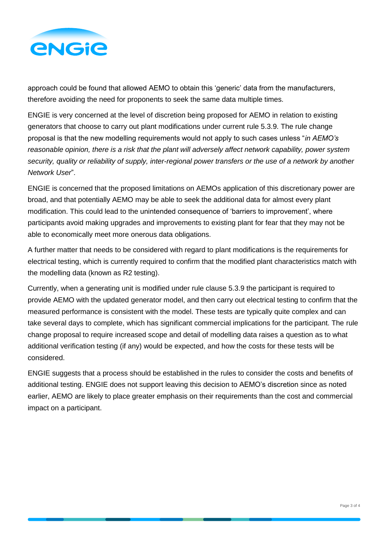

approach could be found that allowed AEMO to obtain this 'generic' data from the manufacturers, therefore avoiding the need for proponents to seek the same data multiple times.

ENGIE is very concerned at the level of discretion being proposed for AEMO in relation to existing generators that choose to carry out plant modifications under current rule 5.3.9. The rule change proposal is that the new modelling requirements would not apply to such cases unless "*in AEMO's reasonable opinion, there is a risk that the plant will adversely affect network capability, power system security, quality or reliability of supply, inter-regional power transfers or the use of a network by another Network User*".

ENGIE is concerned that the proposed limitations on AEMOs application of this discretionary power are broad, and that potentially AEMO may be able to seek the additional data for almost every plant modification. This could lead to the unintended consequence of 'barriers to improvement', where participants avoid making upgrades and improvements to existing plant for fear that they may not be able to economically meet more onerous data obligations.

A further matter that needs to be considered with regard to plant modifications is the requirements for electrical testing, which is currently required to confirm that the modified plant characteristics match with the modelling data (known as R2 testing).

Currently, when a generating unit is modified under rule clause 5.3.9 the participant is required to provide AEMO with the updated generator model, and then carry out electrical testing to confirm that the measured performance is consistent with the model. These tests are typically quite complex and can take several days to complete, which has significant commercial implications for the participant. The rule change proposal to require increased scope and detail of modelling data raises a question as to what additional verification testing (if any) would be expected, and how the costs for these tests will be considered.

ENGIE suggests that a process should be established in the rules to consider the costs and benefits of additional testing. ENGIE does not support leaving this decision to AEMO's discretion since as noted earlier, AEMO are likely to place greater emphasis on their requirements than the cost and commercial impact on a participant.